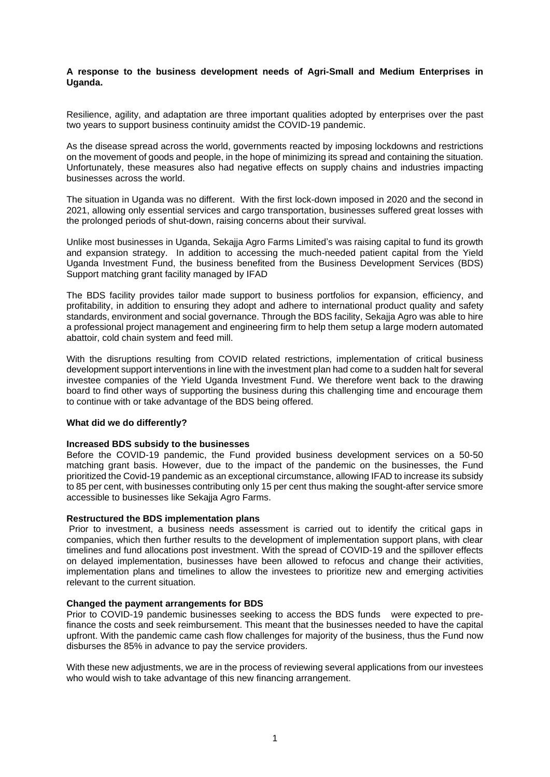# **A response to the business development needs of Agri-Small and Medium Enterprises in Uganda.**

Resilience, agility, and adaptation are three important qualities adopted by enterprises over the past two years to support business continuity amidst the COVID-19 pandemic.

As the disease spread across the world, governments reacted by imposing lockdowns and restrictions on the movement of goods and people, in the hope of minimizing its spread and containing the situation. Unfortunately, these measures also had negative effects on supply chains and industries impacting businesses across the world.

The situation in Uganda was no different. With the first lock-down imposed in 2020 and the second in 2021, allowing only essential services and cargo transportation, businesses suffered great losses with the prolonged periods of shut-down, raising concerns about their survival.

Unlike most businesses in Uganda, Sekajja Agro Farms Limited's was raising capital to fund its growth and expansion strategy. In addition to accessing the much-needed patient capital from the Yield Uganda Investment Fund, the business benefited from the Business Development Services (BDS) Support matching grant facility managed by IFAD

The BDS facility provides tailor made support to business portfolios for expansion, efficiency, and profitability, in addition to ensuring they adopt and adhere to international product quality and safety standards, environment and social governance. Through the BDS facility, Sekajja Agro was able to hire a professional project management and engineering firm to help them setup a large modern automated abattoir, cold chain system and feed mill.

With the disruptions resulting from COVID related restrictions, implementation of critical business development support interventions in line with the investment plan had come to a sudden halt for several investee companies of the Yield Uganda Investment Fund. We therefore went back to the drawing board to find other ways of supporting the business during this challenging time and encourage them to continue with or take advantage of the BDS being offered.

## **What did we do differently?**

## **Increased BDS subsidy to the businesses**

Before the COVID-19 pandemic, the Fund provided business development services on a 50-50 matching grant basis. However, due to the impact of the pandemic on the businesses, the Fund prioritized the Covid-19 pandemic as an exceptional circumstance, allowing IFAD to increase its subsidy to 85 per cent, with businesses contributing only 15 per cent thus making the sought-after service smore accessible to businesses like Sekajja Agro Farms.

## **Restructured the BDS implementation plans**

Prior to investment, a business needs assessment is carried out to identify the critical gaps in companies, which then further results to the development of implementation support plans, with clear timelines and fund allocations post investment. With the spread of COVID-19 and the spillover effects on delayed implementation, businesses have been allowed to refocus and change their activities, implementation plans and timelines to allow the investees to prioritize new and emerging activities relevant to the current situation.

## **Changed the payment arrangements for BDS**

Prior to COVID-19 pandemic businesses seeking to access the BDS funds were expected to prefinance the costs and seek reimbursement. This meant that the businesses needed to have the capital upfront. With the pandemic came cash flow challenges for majority of the business, thus the Fund now disburses the 85% in advance to pay the service providers.

With these new adjustments, we are in the process of reviewing several applications from our investees who would wish to take advantage of this new financing arrangement.